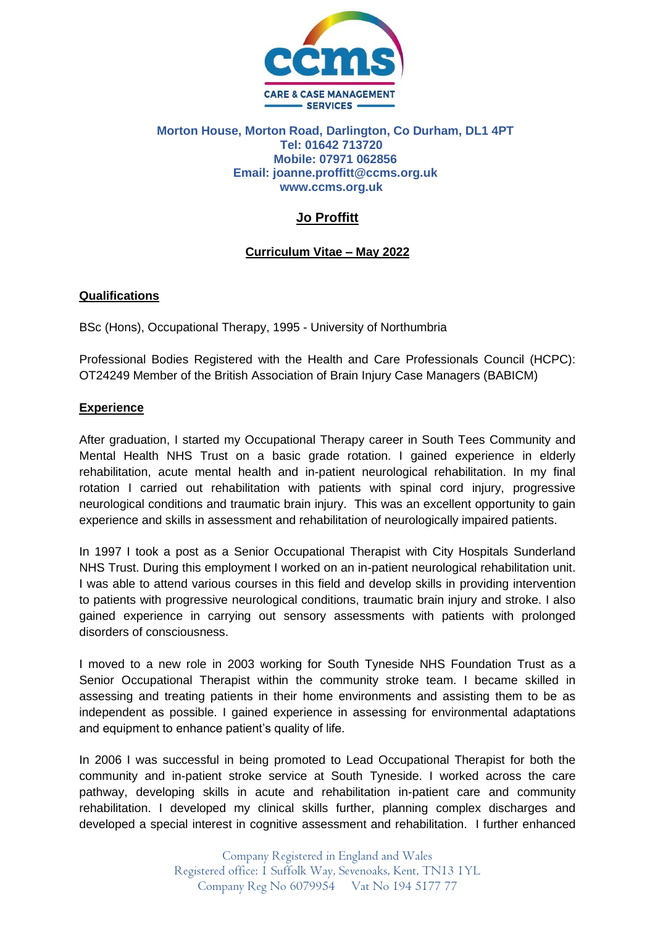

#### **Morton House, Morton Road, Darlington, Co Durham, DL1 4PT Tel: 01642 713720 Mobile: 07971 062856 Email: joanne.proffitt@ccms.org.uk www.ccms.org.uk**

# **Jo Proffitt**

## **Curriculum Vitae – May 2022**

## **Qualifications**

BSc (Hons), Occupational Therapy, 1995 - University of Northumbria

Professional Bodies Registered with the Health and Care Professionals Council (HCPC): OT24249 Member of the British Association of Brain Injury Case Managers (BABICM)

## **Experience**

After graduation, I started my Occupational Therapy career in South Tees Community and Mental Health NHS Trust on a basic grade rotation. I gained experience in elderly rehabilitation, acute mental health and in-patient neurological rehabilitation. In my final rotation I carried out rehabilitation with patients with spinal cord injury, progressive neurological conditions and traumatic brain injury. This was an excellent opportunity to gain experience and skills in assessment and rehabilitation of neurologically impaired patients.

In 1997 I took a post as a Senior Occupational Therapist with City Hospitals Sunderland NHS Trust. During this employment I worked on an in-patient neurological rehabilitation unit. I was able to attend various courses in this field and develop skills in providing intervention to patients with progressive neurological conditions, traumatic brain injury and stroke. I also gained experience in carrying out sensory assessments with patients with prolonged disorders of consciousness.

I moved to a new role in 2003 working for South Tyneside NHS Foundation Trust as a Senior Occupational Therapist within the community stroke team. I became skilled in assessing and treating patients in their home environments and assisting them to be as independent as possible. I gained experience in assessing for environmental adaptations and equipment to enhance patient's quality of life.

In 2006 I was successful in being promoted to Lead Occupational Therapist for both the community and in-patient stroke service at South Tyneside. I worked across the care pathway, developing skills in acute and rehabilitation in-patient care and community rehabilitation. I developed my clinical skills further, planning complex discharges and developed a special interest in cognitive assessment and rehabilitation. I further enhanced